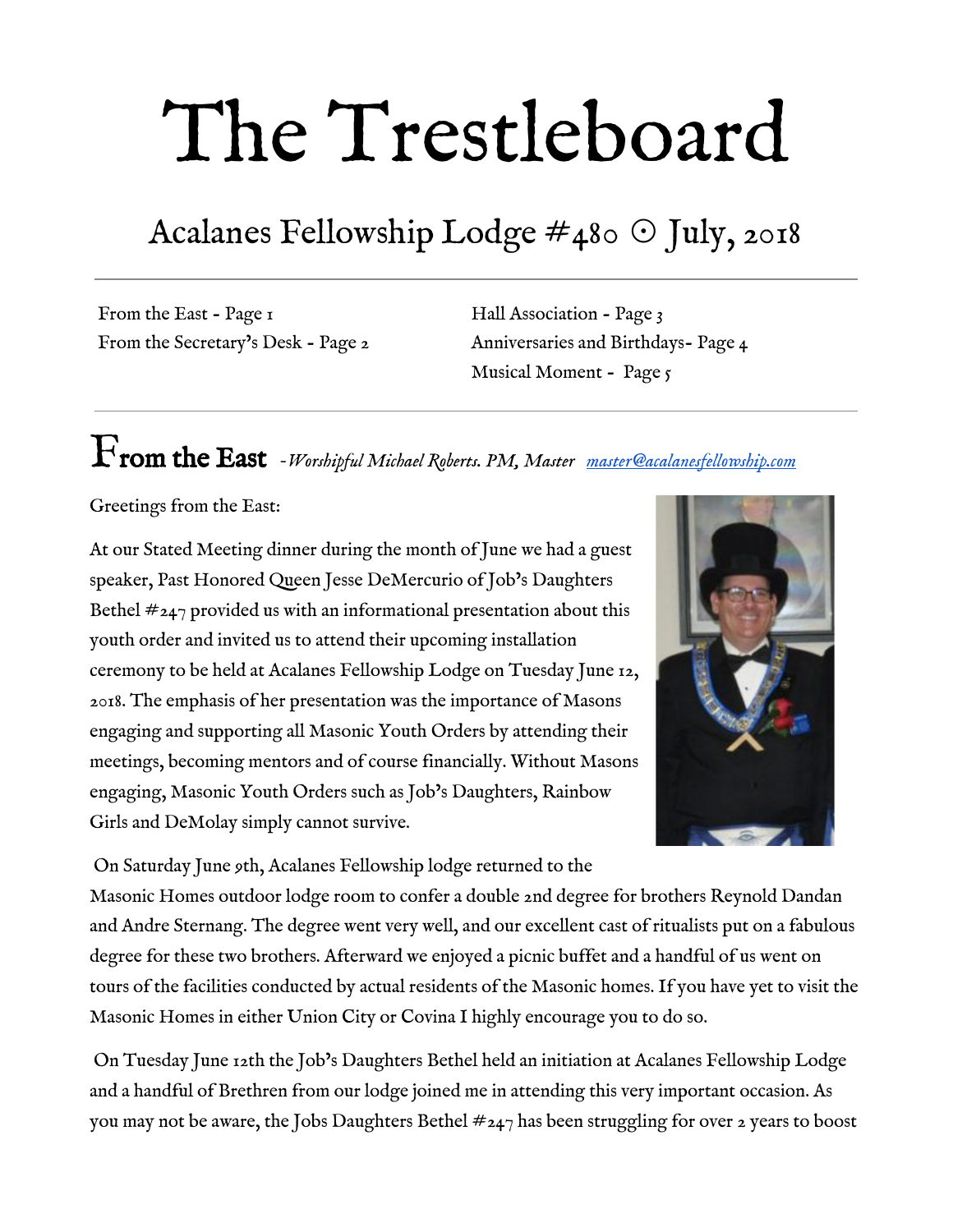# The Trestleboard

## Acalanes Fellowship Lodge  $\#$ 480  $\odot$  July, 2018

From the East - Page 1 From the Secretary's Desk - Page 2 Hall Association - Page 3 Anniversaries and Birthdays- Page 4 Musical Moment - Page 5

# From the East *-Worshipful Michael Roberts. PM, Master [master@acalanesfellowship.com](mailto:master@acalanesfellowship.com)*

Greetings from the East:

At our Stated Meeting dinner during the month of June we had a guest speaker, Past Honored Queen Jesse DeMercurio of Job's Daughters Bethel  $\#_{247}$  provided us with an informational presentation about this youth order and invited us to attend their upcoming installation ceremony to be held at Acalanes Fellowship Lodge on Tuesday June 12, 2018. The emphasis of her presentation was the importance of Masons engaging and supporting all Masonic Youth Orders by attending their meetings, becoming mentors and of course financially. Without Masons engaging, Masonic Youth Orders such as Job's Daughters, Rainbow Girls and DeMolay simply cannot survive.



 On Saturday June 9th, Acalanes Fellowship lodge returned to the Masonic Homes outdoor lodge room to confer a double 2nd degree for brothers Reynold Dandan and Andre Sternang. The degree went very well, and our excellent cast of ritualists put on a fabulous degree for these two brothers. Afterward we enjoyed a picnic buffet and a handful of us went on tours of the facilities conducted by actual residents of the Masonic homes. If you have yet to visit the Masonic Homes in either Union City or Covina I highly encourage you to do so.

 On Tuesday June 12th the Job's Daughters Bethel held an initiation at Acalanes Fellowship Lodge and a handful of Brethren from our lodge joined me in attending this very important occasion. As you may not be aware, the Jobs Daughters Bethel  $\#247$  has been struggling for over 2 years to boost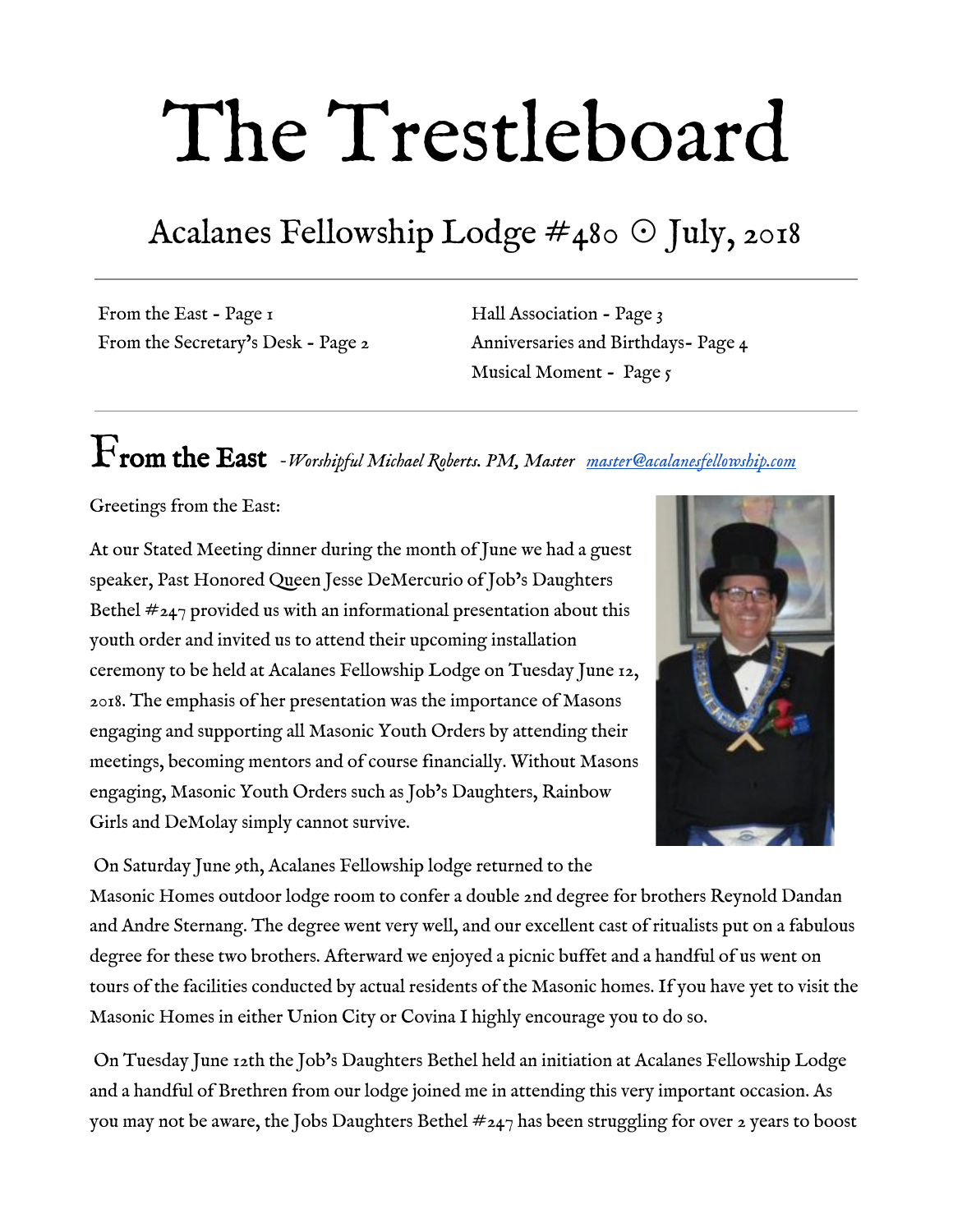its membership. This initiation was extra special as they had guest ritualists from three different Bethels to fill the stations. Without the assistance of these other Bethels this initiation would not have been possible. They had three initiates that night and for the first time ever had a full house (sideliners) and a choir. The initiation was very informative to me and I now have a much better understanding of what the Job's Daughters are about, and I highly encourage you all to attend their next meeting. If you would like more information about the Job's Daughters or any other youth order, please contact me and I'll be happy to direct you to the local contact.

It is hard to believe that the month of July is already here! We will have our monthly [stated meeting](https://www.eventbrite.com/e/july-2018-stated-meeting-dinner-registration-41095450599?ref=ecal) [on July 3rd](https://www.eventbrite.com/e/july-2018-stated-meeting-dinner-registration-41095450599?ref=ecal) and as with lodge tradition go dark for the rest of the month. I wish everyone a happy and safe 4th of July holiday and look forward to seeing everyone during the month of August.

# From the Secretary's Desk *-Fred Lezak, Secretary [secretary@acalanesfellowship.com](mailto:secretary@acalanesfellowship.com)*

The most important messages for you this month are Masons4Mitts and coming to the stated meeting.

Each year we raise money by buying mitts for \$20 each. These funds go to the Junior Giant program. You can give me the \$20 (cash or check) or go online to Masons4 Mitts.org. On the menu at the top, click on "Northern California then click on East Bay Aces which is our team. Click on "give a mitt". Fill in the



information and BE SURE TO FILL IN THE LODGE INFORMATION.

You can also sign up for the game. This year the game is September 25th (a Tuesday night). The giants will be playing the Padres. We will be buying tickets as a group. I have ordered ten tickets for the regular bleachers. They are \$20 each. I will keep two for myself. If you want to join me, please let me know as soon as possible. They will go fast. We always have a great time at the game. More at the stated meeting.

Speaking stated meeting, if you have not been for a while, we miss you. As always, you are invited to attend our stated meeting dinner and meeting on the first Tuesday of any month. The feeling of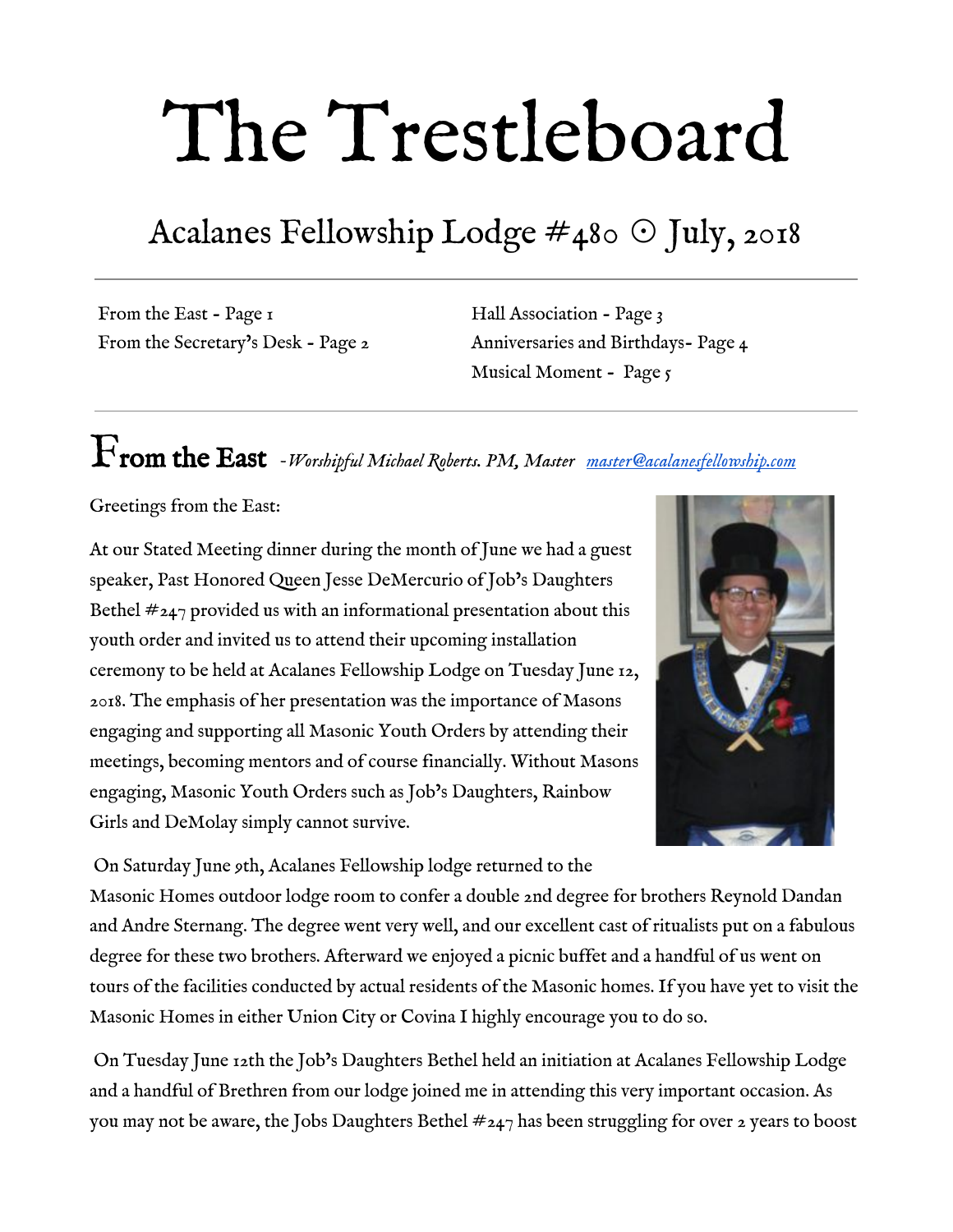brotherly love and good fun continues to abound. Our ritual work is solid and getting better. This is the time for you to return to lodge if you haven't been for a while. Don't feel embarrassed or shy. We want you back and I can guarantee you will be welcomed. You will thank yourself for attending. If you need a ride, please call me at  $(925)$  360-4328.A

# Hall Association *Pete Peterson, Tiler [no2pete@aol.com](mailto:no2pete@aol.com)*



The Hall Association continued its ongoing efforts to spruce up the lodge and keep up with ongoing maintenance issues. We've had ongoing issues with one of our regular renters regarding cleanliness issues after their use of lodge facilities. This has caused some concern when showing off the lodge to other prospective tenants. Worshipful Burt and Brother Bob Smith are

diligently working with the renter to ensure their use of our building does not detract from its appearance and impact our ability to attract new tenants.

Speaking of new tenants, Worshipful Burt has been in discussion with a group from the nearby Lafayette Elementary School about long-term use of our facility. If things work out (and it looks like it will), this will not only bring in additional revenue to the lodge but will also add to our efforts to be more involved in the community.

Worshipful Rogers and Brother Korwin are nearing completion of the work being done on the stage area in the West. This work will enable the lodge to have needed additional storage area and will make the lodge even more attractive to future renters

Brother Smith has cleaned up the graffiti that was sprayed on the parking lot side of our building. We will be discussing the possible installation of security cameras to monitor the exterior of the lodge.

As you can see, there is a lot of behind-the-scenes activity that goes on to keep our lodge functioning. We continue to have an unfilled vacancy on the Hall Association and encourage anyone interested to apply.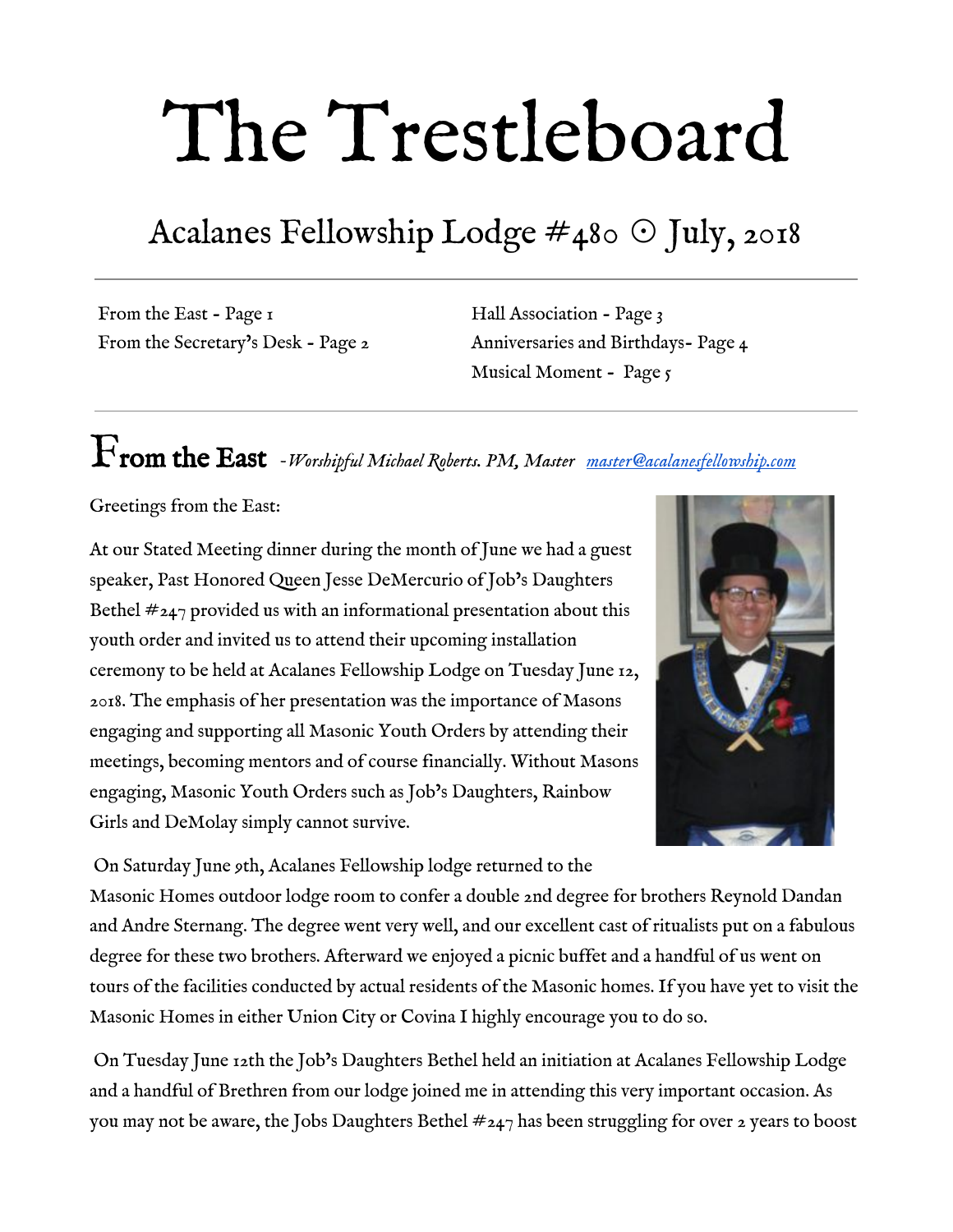

## 3rd Degree Anniversaries

| Name            | Raised    | Years<br>2 MM |
|-----------------|-----------|---------------|
| Eldon G. Keefer | 7/31/1946 | 72            |



### Birthdays

Please join us in wishing our brethren very happy birthdays this month.

| Russell J. Chapman      | July 2       |
|-------------------------|--------------|
| Christopher M. Urani    | July 2       |
| John P. Minagro         | $\int$ uly 3 |
| Scott E. Carter         | $\int$ uly 7 |
| Donald R. Hansen, PM    | July 8       |
| Charles R. Tolerton, PM | July 8       |
| Gary A. Yanes, PM       | July 10      |
| Thomas C. Thompson      | July 13      |
| Michael P. Kenny        | July 13      |
| Walter J. Moser         | July 14      |
| Richard N. Young        | July 21      |
| Paul J. Crawford        | July 26      |
| William J. Haynes       | July 31      |
| Á                       | $\prime$     |
| Á                       |              |
| Á                       |              |

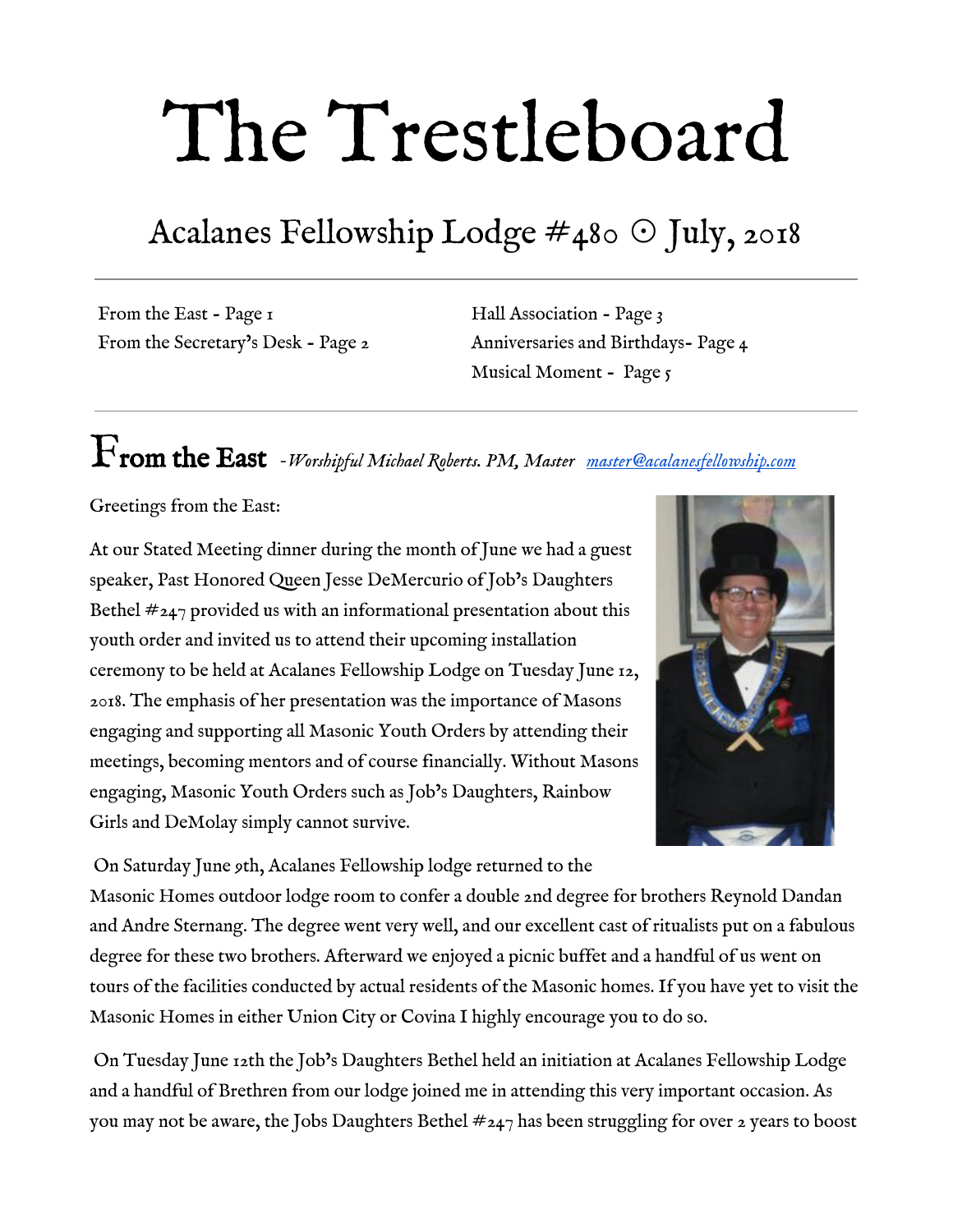# Musical Moment *- John Minagro, Junior Deacon*

#### *[jrdeacon@acalanesfellowship.com](mailto:jrdeacon@acalanesfellowship.com)*

*Throughout my life I have felt inspiration from the words of various scriptures, but I've also been profoundly moved by the words and music of songs, even Broadway songs.*

*Included below is a link where you can go online to listen to the piece and enjoy the marriage of word and music, which always deepens its spiritual message. I would also encourage you to read, or better yet listen to each song at least 3 times — all at once, or over the course of the month — allowing the words, music, and their effects of inspiration and joy to sift upon your mind and being.*

Something patriotic for July: In 1986 in London, and 2 years later on Broadway in New York, a new musical called "Chess" made it's mark. With music by Benny Andersson and Björn Ulvaeus of the pop group ABBA, and lyrics by Tim Rice, "Chess" is a story about a world championship chess match, set with political intrigue between the USA and The USSR, and of course how could you do a musical without a love triangle? One of its best songs, among its many great songs, is one called "Anthem" which is sung by the leading man, a Soviet Chess Champion, who reminisces about his mother country and how he loves and misses her. The song could apply virtually to any nation, and is a stirring and deeply moving patriotic number that bears knowing and thinking about.

#### Anthem

*Music: Benny Andersson & Björn Ulvaeus Lyrics: Tim Rice*

No man, no madness Though their sad power may prevail Can possess, conquer, my country's heart They rise to fail

She is eternal Long before nations' lines were drawn When no flags flew, when no armies stood My land was born

And you ask me why I love her Through wars, death and despair She is the constant, we who don't care And you wonder will I leave her - but how? I cross over borders but I'm still there now

How can I leave her? Where would I start? Let man's petty nations tear themselves apart My land's only borders lie around my heart

You can listen to Josh Groban singing it here: A **@rd • KED** . È l'čà^ÈN { Đær&@ÑcMÎ FÖ aY ZEE aG Á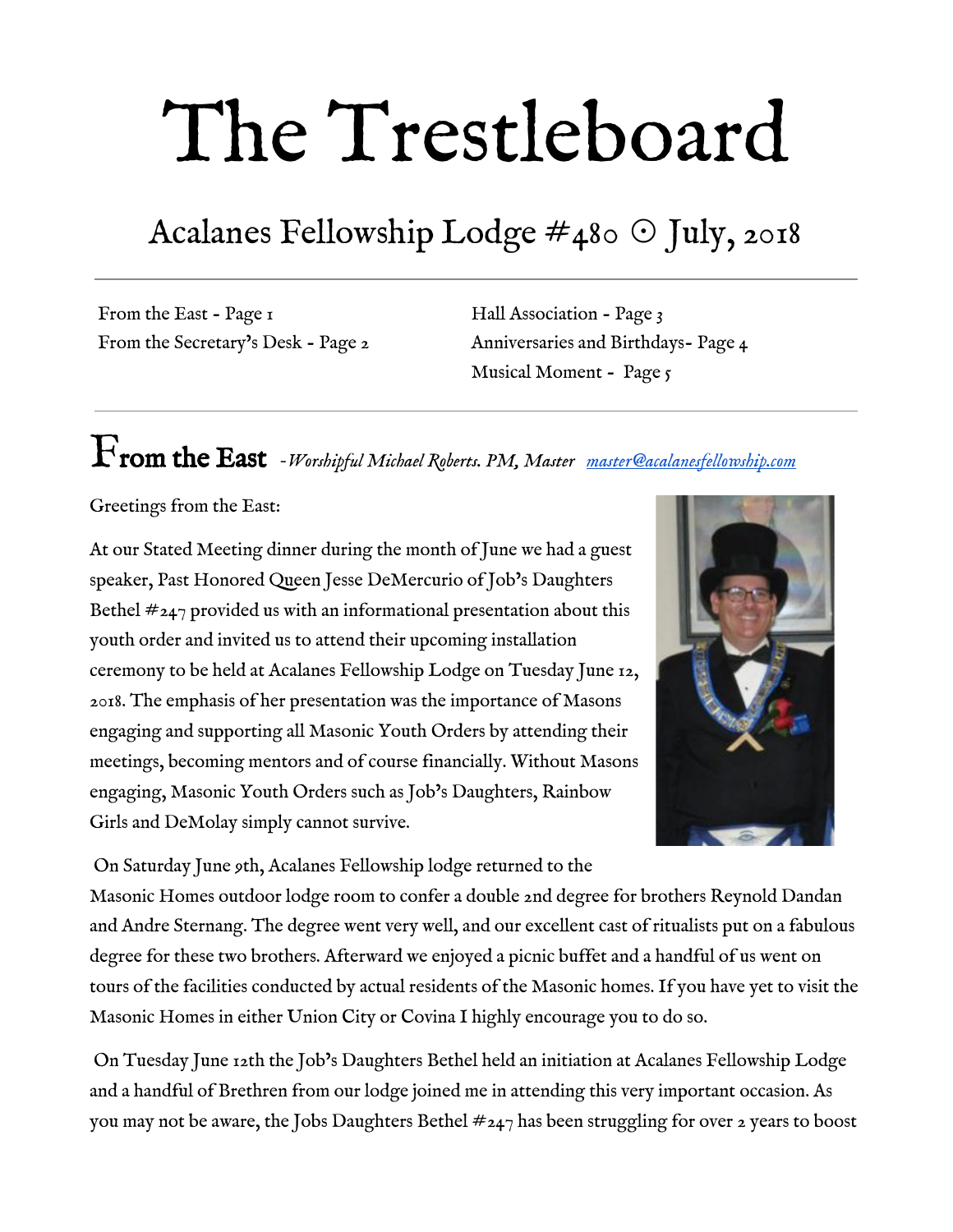

#### **MASONIC OUTREACH SERVICES**

#### Need help? We're here for you.

Keep your family healthy and safe with services from the Masonic Homes:

- Information and referrals, wherever you live ٠
- Residential senior communities in Covina and Union City
- Statewide Masonic Outreach Services for members of all ages and their families
- Transitions short-term rehabilitation and respite care in Union City
- The Masonic Center for Youth and Families in San Francisco and Covina,  $\bullet$ with statewide telehealth services
- Masonic Value Network resources regarding family caregivers, in-home care providers, residential senior communities, and discounted prescription medications

masonichome.org | (888) 466-3642

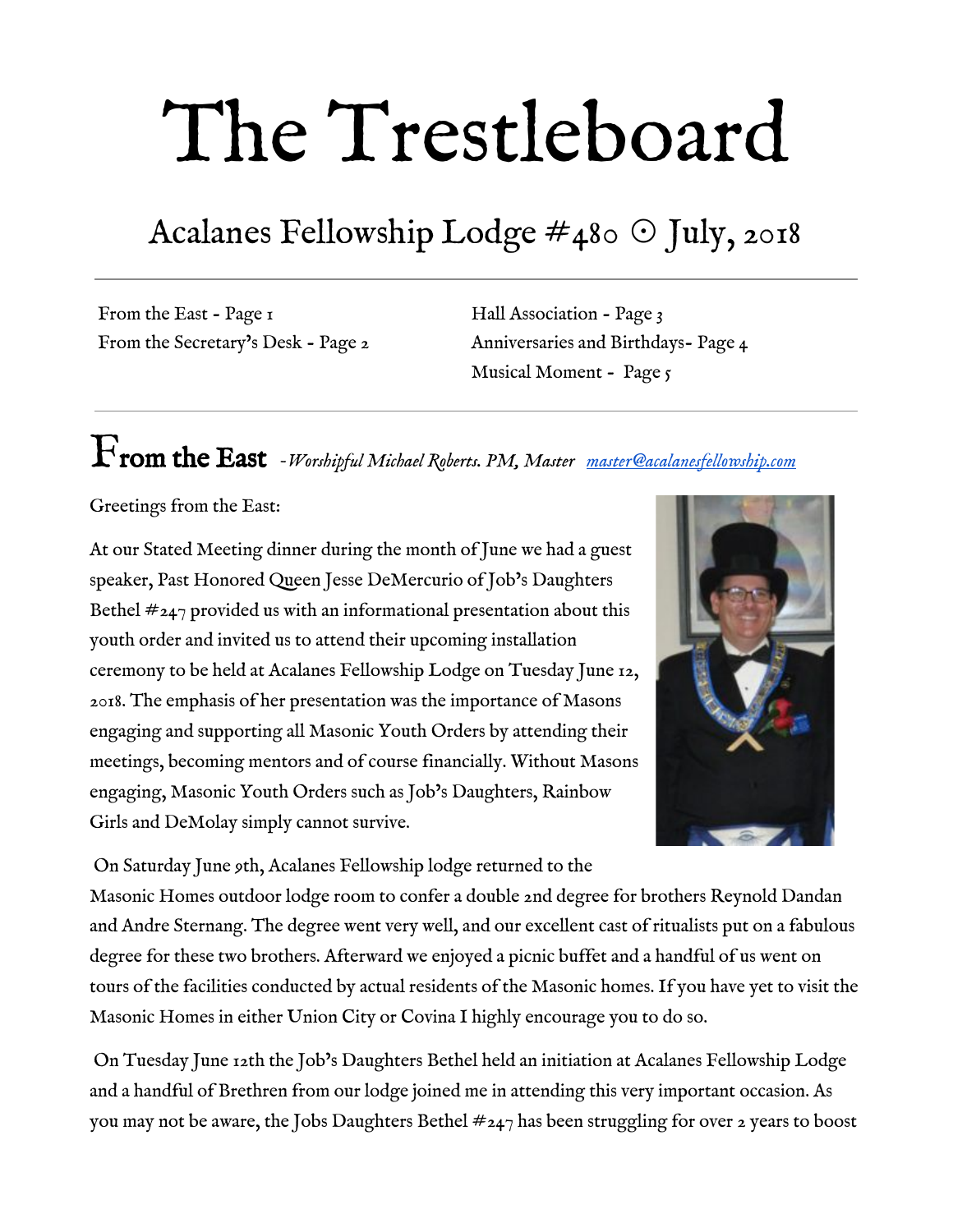

#### Contact Us…

Michael Roberts, PM Master [master@acalanesfellowship.com](mailto:master@acalanesfellowship.com)

Robert Strohmeyer Senior Warden [srwarden@acalanesfellowship.com](mailto:srwarden@acalanesfellowship.com)

Adam Hanin Junior Warden [jrwarden@acalanesfellowship.com](mailto:jrwarden@acalanesfellowship.com)

David Kreutzinger Treasurer [treasurer@acalanesfellowship.com](mailto:treasurer@acalanesfellowship.com)

Fred Lezak **Secretary** [secretary@acalanesfellowship.com](mailto:secretary@acalanesfellowship.com)

Frank Shoffner Chaplain [chaplain@acalanesfellowship.com](mailto:chaplain@acalanesfellowship.com)

Hall Association / Rentals [hallassociation@acalanesfellowship.com](mailto:hallassociation@acalanesfellowship.com)

Webmaster [webmaster@acalanesfellowship.com](mailto:webmaster@acalanesfellowship.com)

Trestleboard [trestleboard@acalanesfellowship.com](mailto:trestleboard@acalanesfellowship.com)

Acalanes Fellowship Lodge P.O. Box 1, Lafayette, CA 94549  $(925) 284 - 7815$